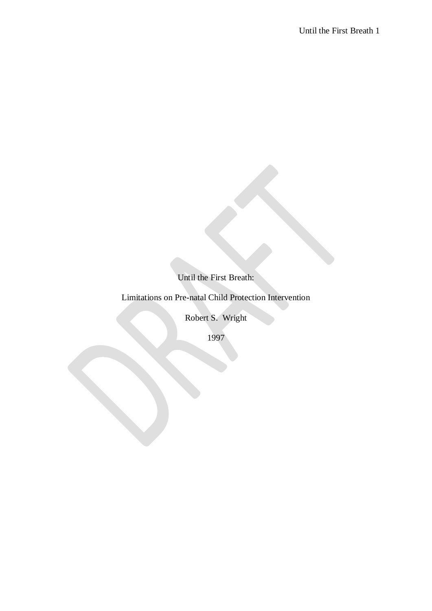Until the First Breath:

Limitations on Pre-natal Child Protection Intervention

Robert S. Wright

1997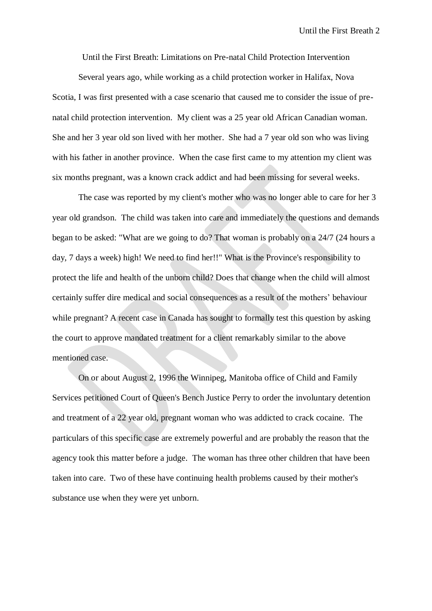Until the First Breath: Limitations on Pre-natal Child Protection Intervention

Several years ago, while working as a child protection worker in Halifax, Nova Scotia, I was first presented with a case scenario that caused me to consider the issue of prenatal child protection intervention. My client was a 25 year old African Canadian woman. She and her 3 year old son lived with her mother. She had a 7 year old son who was living with his father in another province. When the case first came to my attention my client was six months pregnant, was a known crack addict and had been missing for several weeks.

The case was reported by my client's mother who was no longer able to care for her 3 year old grandson. The child was taken into care and immediately the questions and demands began to be asked: "What are we going to do? That woman is probably on a 24/7 (24 hours a day, 7 days a week) high! We need to find her!!" What is the Province's responsibility to protect the life and health of the unborn child? Does that change when the child will almost certainly suffer dire medical and social consequences as a result of the mothers' behaviour while pregnant? A recent case in Canada has sought to formally test this question by asking the court to approve mandated treatment for a client remarkably similar to the above mentioned case.

On or about August 2, 1996 the Winnipeg, Manitoba office of Child and Family Services petitioned Court of Queen's Bench Justice Perry to order the involuntary detention and treatment of a 22 year old, pregnant woman who was addicted to crack cocaine. The particulars of this specific case are extremely powerful and are probably the reason that the agency took this matter before a judge. The woman has three other children that have been taken into care. Two of these have continuing health problems caused by their mother's substance use when they were yet unborn.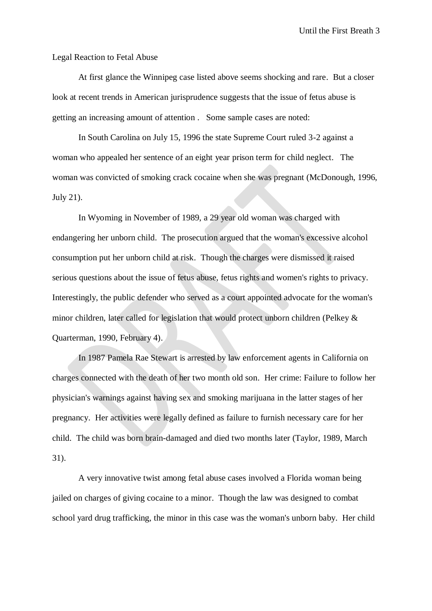Until the First Breath 3

Legal Reaction to Fetal Abuse

At first glance the Winnipeg case listed above seems shocking and rare. But a closer look at recent trends in American jurisprudence suggests that the issue of fetus abuse is getting an increasing amount of attention . Some sample cases are noted:

In South Carolina on July 15, 1996 the state Supreme Court ruled 3-2 against a woman who appealed her sentence of an eight year prison term for child neglect. The woman was convicted of smoking crack cocaine when she was pregnant (McDonough, 1996, July 21).

In Wyoming in November of 1989, a 29 year old woman was charged with endangering her unborn child. The prosecution argued that the woman's excessive alcohol consumption put her unborn child at risk. Though the charges were dismissed it raised serious questions about the issue of fetus abuse, fetus rights and women's rights to privacy. Interestingly, the public defender who served as a court appointed advocate for the woman's minor children, later called for legislation that would protect unborn children (Pelkey & Quarterman, 1990, February 4).

In 1987 Pamela Rae Stewart is arrested by law enforcement agents in California on charges connected with the death of her two month old son. Her crime: Failure to follow her physician's warnings against having sex and smoking marijuana in the latter stages of her pregnancy. Her activities were legally defined as failure to furnish necessary care for her child. The child was born brain-damaged and died two months later (Taylor, 1989, March 31).

A very innovative twist among fetal abuse cases involved a Florida woman being jailed on charges of giving cocaine to a minor. Though the law was designed to combat school yard drug trafficking, the minor in this case was the woman's unborn baby. Her child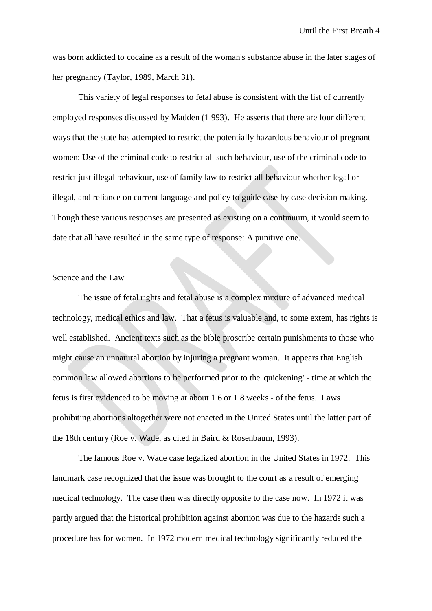was born addicted to cocaine as a result of the woman's substance abuse in the later stages of her pregnancy (Taylor, 1989, March 31).

This variety of legal responses to fetal abuse is consistent with the list of currently employed responses discussed by Madden (1 993). He asserts that there are four different ways that the state has attempted to restrict the potentially hazardous behaviour of pregnant women: Use of the criminal code to restrict all such behaviour, use of the criminal code to restrict just illegal behaviour, use of family law to restrict all behaviour whether legal or illegal, and reliance on current language and policy to guide case by case decision making. Though these various responses are presented as existing on a continuum, it would seem to date that all have resulted in the same type of response: A punitive one.

# Science and the Law

The issue of fetal rights and fetal abuse is a complex mixture of advanced medical technology, medical ethics and law. That a fetus is valuable and, to some extent, has rights is well established. Ancient texts such as the bible proscribe certain punishments to those who might cause an unnatural abortion by injuring a pregnant woman. It appears that English common law allowed abortions to be performed prior to the 'quickening' - time at which the fetus is first evidenced to be moving at about 1 6 or 1 8 weeks - of the fetus. Laws prohibiting abortions altogether were not enacted in the United States until the latter part of the 18th century (Roe v. Wade, as cited in Baird & Rosenbaum, 1993).

The famous Roe v. Wade case legalized abortion in the United States in 1972. This landmark case recognized that the issue was brought to the court as a result of emerging medical technology. The case then was directly opposite to the case now. In 1972 it was partly argued that the historical prohibition against abortion was due to the hazards such a procedure has for women. In 1972 modern medical technology significantly reduced the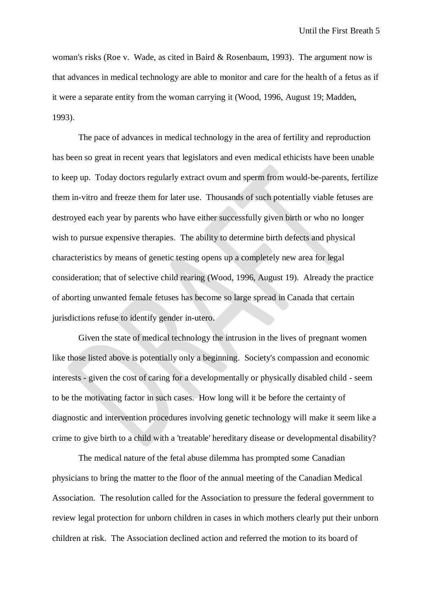woman's risks (Roe v. Wade, as cited in Baird & Rosenbaum, 1993). The argument now is that advances in medical technology are able to monitor and care for the health of a fetus as if it were a separate entity from the woman carrying it (Wood, 1996, August 19; Madden, 1993).

The pace of advances in medical technology in the area of fertility and reproduction has been so great in recent years that legislators and even medical ethicists have been unable to keep up. Today doctors regularly extract ovum and sperm from would-be-parents, fertilize them in-vitro and freeze them for later use. Thousands of such potentially viable fetuses are destroyed each year by parents who have either successfully given birth or who no longer wish to pursue expensive therapies. The ability to determine birth defects and physical characteristics by means of genetic testing opens up a completely new area for legal consideration; that of selective child rearing (Wood, 1996, August 19). Already the practice of aborting unwanted female fetuses has become so large spread in Canada that certain jurisdictions refuse to identify gender in-utero.

Given the state of medical technology the intrusion in the lives of pregnant women like those listed above is potentially only a beginning. Society's compassion and economic interests - given the cost of caring for a developmentally or physically disabled child - seem to be the motivating factor in such cases. How long will it be before the certainty of diagnostic and intervention procedures involving genetic technology will make it seem like a crime to give birth to a child with a 'treatable' hereditary disease or developmental disability?

The medical nature of the fetal abuse dilemma has prompted some Canadian physicians to bring the matter to the floor of the annual meeting of the Canadian Medical Association. The resolution called for the Association to pressure the federal government to review legal protection for unborn children in cases in which mothers clearly put their unborn children at risk. The Association declined action and referred the motion to its board of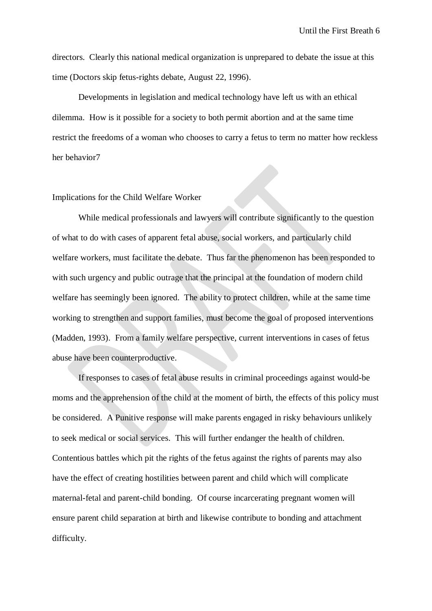directors. Clearly this national medical organization is unprepared to debate the issue at this time (Doctors skip fetus-rights debate, August 22, 1996).

Developments in legislation and medical technology have left us with an ethical dilemma. How is it possible for a society to both permit abortion and at the same time restrict the freedoms of a woman who chooses to carry a fetus to term no matter how reckless her behavior7

## Implications for the Child Welfare Worker

While medical professionals and lawyers will contribute significantly to the question of what to do with cases of apparent fetal abuse, social workers, and particularly child welfare workers, must facilitate the debate. Thus far the phenomenon has been responded to with such urgency and public outrage that the principal at the foundation of modern child welfare has seemingly been ignored. The ability to protect children, while at the same time working to strengthen and support families, must become the goal of proposed interventions (Madden, 1993). From a family welfare perspective, current interventions in cases of fetus abuse have been counterproductive.

If responses to cases of fetal abuse results in criminal proceedings against would-be moms and the apprehension of the child at the moment of birth, the effects of this policy must be considered. A Punitive response will make parents engaged in risky behaviours unlikely to seek medical or social services. This will further endanger the health of children. Contentious battles which pit the rights of the fetus against the rights of parents may also have the effect of creating hostilities between parent and child which will complicate maternal-fetal and parent-child bonding. Of course incarcerating pregnant women will ensure parent child separation at birth and likewise contribute to bonding and attachment difficulty.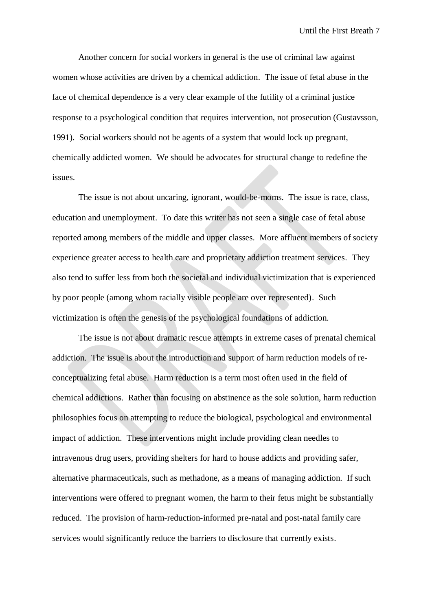Another concern for social workers in general is the use of criminal law against women whose activities are driven by a chemical addiction. The issue of fetal abuse in the face of chemical dependence is a very clear example of the futility of a criminal justice response to a psychological condition that requires intervention, not prosecution (Gustavsson, 1991). Social workers should not be agents of a system that would lock up pregnant, chemically addicted women. We should be advocates for structural change to redefine the issues.

The issue is not about uncaring, ignorant, would-be-moms. The issue is race, class, education and unemployment. To date this writer has not seen a single case of fetal abuse reported among members of the middle and upper classes. More affluent members of society experience greater access to health care and proprietary addiction treatment services. They also tend to suffer less from both the societal and individual victimization that is experienced by poor people (among whom racially visible people are over represented). Such victimization is often the genesis of the psychological foundations of addiction.

The issue is not about dramatic rescue attempts in extreme cases of prenatal chemical addiction. The issue is about the introduction and support of harm reduction models of reconceptualizing fetal abuse. Harm reduction is a term most often used in the field of chemical addictions. Rather than focusing on abstinence as the sole solution, harm reduction philosophies focus on attempting to reduce the biological, psychological and environmental impact of addiction. These interventions might include providing clean needles to intravenous drug users, providing shelters for hard to house addicts and providing safer, alternative pharmaceuticals, such as methadone, as a means of managing addiction. If such interventions were offered to pregnant women, the harm to their fetus might be substantially reduced. The provision of harm-reduction-informed pre-natal and post-natal family care services would significantly reduce the barriers to disclosure that currently exists.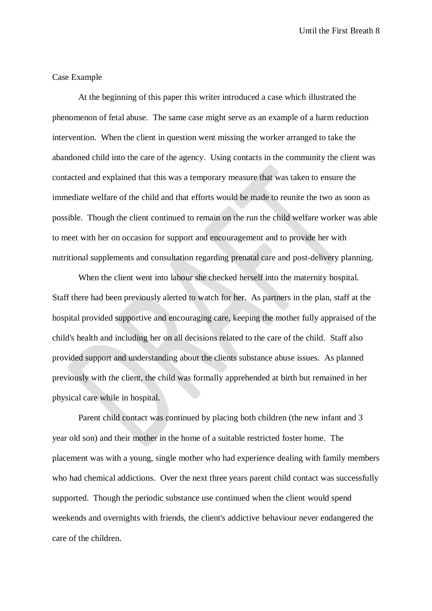Until the First Breath 8

## Case Example

At the beginning of this paper this writer introduced a case which illustrated the phenomenon of fetal abuse. The same case might serve as an example of a harm reduction intervention. When the client in question went missing the worker arranged to take the abandoned child into the care of the agency. Using contacts in the community the client was contacted and explained that this was a temporary measure that was taken to ensure the immediate welfare of the child and that efforts would be made to reunite the two as soon as possible. Though the client continued to remain on the run the child welfare worker was able to meet with her on occasion for support and encouragement and to provide her with nutritional supplements and consultation regarding prenatal care and post-delivery planning.

When the client went into labour she checked herself into the maternity hospital. Staff there had been previously alerted to watch for her. As partners in the plan, staff at the hospital provided supportive and encouraging care, keeping the mother fully appraised of the child's health and including her on all decisions related to the care of the child. Staff also provided support and understanding about the clients substance abuse issues. As planned previously with the client, the child was formally apprehended at birth but remained in her physical care while in hospital.

Parent child contact was continued by placing both children (the new infant and 3 year old son) and their mother in the home of a suitable restricted foster home. The placement was with a young, single mother who had experience dealing with family members who had chemical addictions. Over the next three years parent child contact was successfully supported. Though the periodic substance use continued when the client would spend weekends and overnights with friends, the client's addictive behaviour never endangered the care of the children.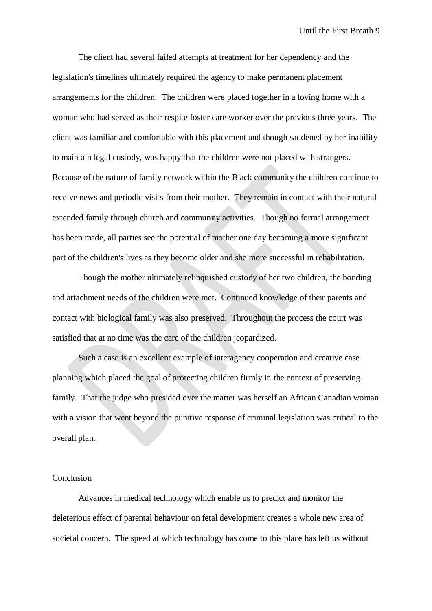The client had several failed attempts at treatment for her dependency and the legislation's timelines ultimately required the agency to make permanent placement arrangements for the children. The children were placed together in a loving home with a woman who had served as their respite foster care worker over the previous three years. The client was familiar and comfortable with this placement and though saddened by her inability to maintain legal custody, was happy that the children were not placed with strangers. Because of the nature of family network within the Black community the children continue to receive news and periodic visits from their mother. They remain in contact with their natural extended family through church and community activities. Though no formal arrangement has been made, all parties see the potential of mother one day becoming a more significant part of the children's lives as they become older and she more successful in rehabilitation.

Though the mother ultimately relinquished custody of her two children, the bonding and attachment needs of the children were met. Continued knowledge of their parents and contact with biological family was also preserved. Throughout the process the court was satisfied that at no time was the care of the children jeopardized.

Such a case is an excellent example of interagency cooperation and creative case planning which placed the goal of protecting children firmly in the context of preserving family. That the judge who presided over the matter was herself an African Canadian woman with a vision that went beyond the punitive response of criminal legislation was critical to the overall plan.

### Conclusion

Advances in medical technology which enable us to predict and monitor the deleterious effect of parental behaviour on fetal development creates a whole new area of societal concern. The speed at which technology has come to this place has left us without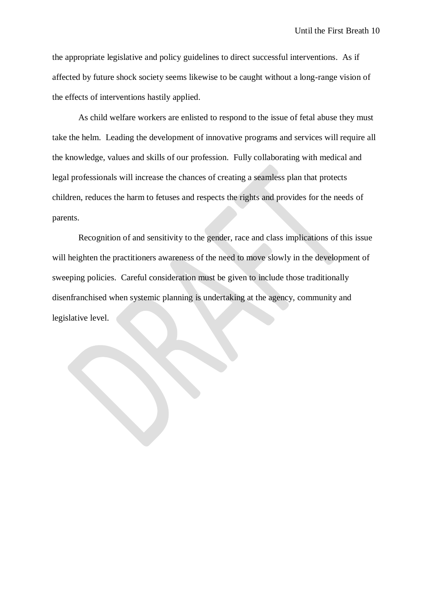the appropriate legislative and policy guidelines to direct successful interventions. As if affected by future shock society seems likewise to be caught without a long-range vision of the effects of interventions hastily applied.

As child welfare workers are enlisted to respond to the issue of fetal abuse they must take the helm. Leading the development of innovative programs and services will require all the knowledge, values and skills of our profession. Fully collaborating with medical and legal professionals will increase the chances of creating a seamless plan that protects children, reduces the harm to fetuses and respects the rights and provides for the needs of parents.

Recognition of and sensitivity to the gender, race and class implications of this issue will heighten the practitioners awareness of the need to move slowly in the development of sweeping policies. Careful consideration must be given to include those traditionally disenfranchised when systemic planning is undertaking at the agency, community and legislative level.